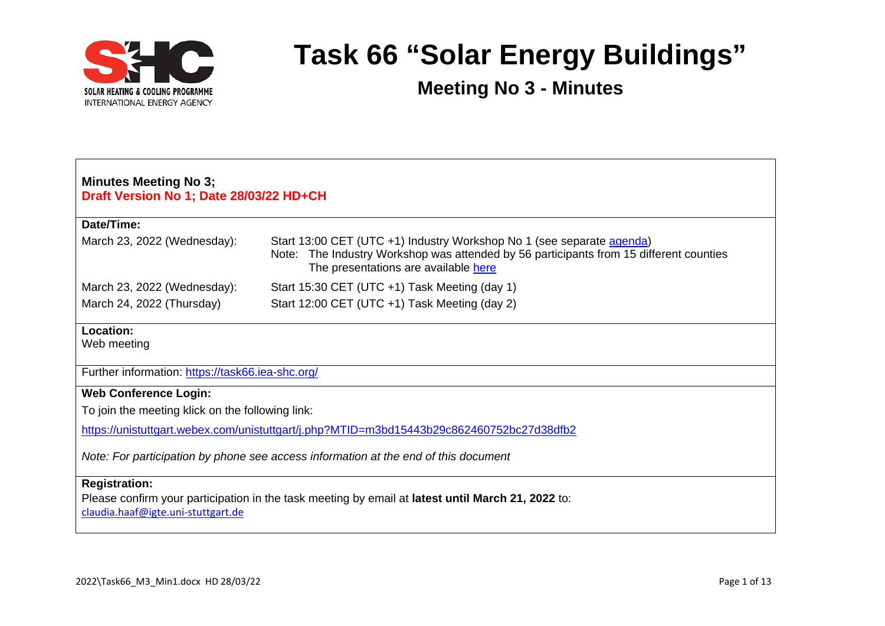

| <b>Minutes Meeting No 3;</b><br>Draft Version No 1; Date 28/03/22 HD+CH                                                                                         |                                                                                                                                                                                                            |  |  |
|-----------------------------------------------------------------------------------------------------------------------------------------------------------------|------------------------------------------------------------------------------------------------------------------------------------------------------------------------------------------------------------|--|--|
| Date/Time:                                                                                                                                                      |                                                                                                                                                                                                            |  |  |
| March 23, 2022 (Wednesday):                                                                                                                                     | Start 13:00 CET (UTC +1) Industry Workshop No 1 (see separate agenda)<br>The Industry Workshop was attended by 56 participants from 15 different counties<br>Note:<br>The presentations are available here |  |  |
| March 23, 2022 (Wednesday):                                                                                                                                     | Start 15:30 CET (UTC +1) Task Meeting (day 1)                                                                                                                                                              |  |  |
| March 24, 2022 (Thursday)                                                                                                                                       | Start 12:00 CET (UTC +1) Task Meeting (day 2)                                                                                                                                                              |  |  |
| Location:<br>Web meeting                                                                                                                                        |                                                                                                                                                                                                            |  |  |
| Further information: https://task66.iea-shc.org/                                                                                                                |                                                                                                                                                                                                            |  |  |
| <b>Web Conference Login:</b>                                                                                                                                    |                                                                                                                                                                                                            |  |  |
| To join the meeting klick on the following link:                                                                                                                |                                                                                                                                                                                                            |  |  |
| https://unistuttgart.webex.com/unistuttgart/j.php?MTID=m3bd15443b29c862460752bc27d38dfb2                                                                        |                                                                                                                                                                                                            |  |  |
| Note: For participation by phone see access information at the end of this document                                                                             |                                                                                                                                                                                                            |  |  |
| <b>Registration:</b><br>Please confirm your participation in the task meeting by email at latest until March 21, 2022 to:<br>claudia.haaf@igte.uni-stuttgart.de |                                                                                                                                                                                                            |  |  |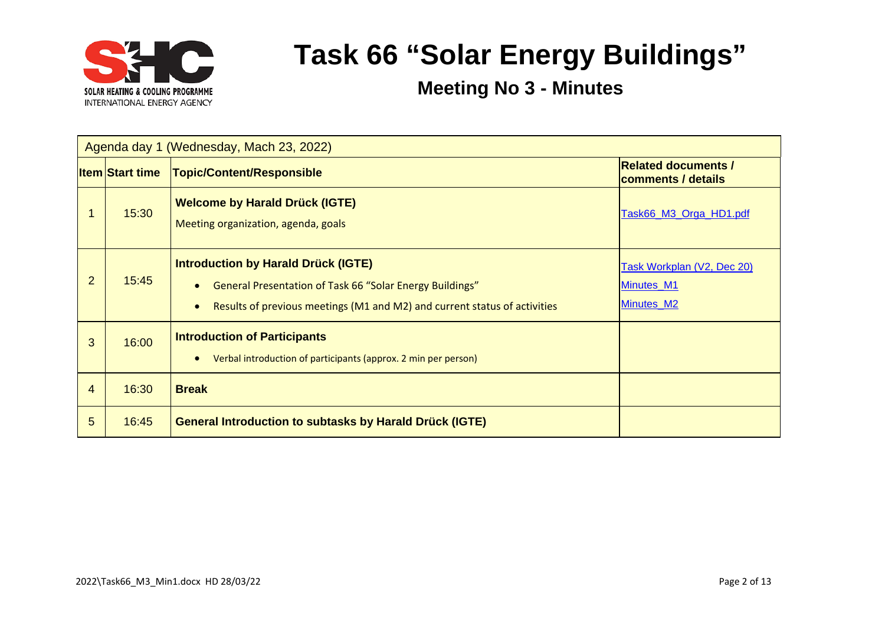

|   | Agenda day 1 (Wednesday, Mach 23, 2022) |                                                                                                                                                                                                  |                                                        |  |
|---|-----------------------------------------|--------------------------------------------------------------------------------------------------------------------------------------------------------------------------------------------------|--------------------------------------------------------|--|
|   | <b>Item Start time</b>                  | <b>Topic/Content/Responsible</b>                                                                                                                                                                 | <b>Related documents /</b><br>comments / details       |  |
|   | 15:30                                   | <b>Welcome by Harald Drück (IGTE)</b><br>Meeting organization, agenda, goals                                                                                                                     | Task66_M3_Orga_HD1.pdf                                 |  |
| 2 | 15:45                                   | <b>Introduction by Harald Drück (IGTE)</b><br>General Presentation of Task 66 "Solar Energy Buildings"<br>Results of previous meetings (M1 and M2) and current status of activities<br>$\bullet$ | Task Workplan (V2, Dec 20)<br>Minutes M1<br>Minutes_M2 |  |
| 3 | 16:00                                   | <b>Introduction of Participants</b><br>Verbal introduction of participants (approx. 2 min per person)                                                                                            |                                                        |  |
| 4 | 16:30                                   | <b>Break</b>                                                                                                                                                                                     |                                                        |  |
| 5 | 16:45                                   | <b>General Introduction to subtasks by Harald Drück (IGTE)</b>                                                                                                                                   |                                                        |  |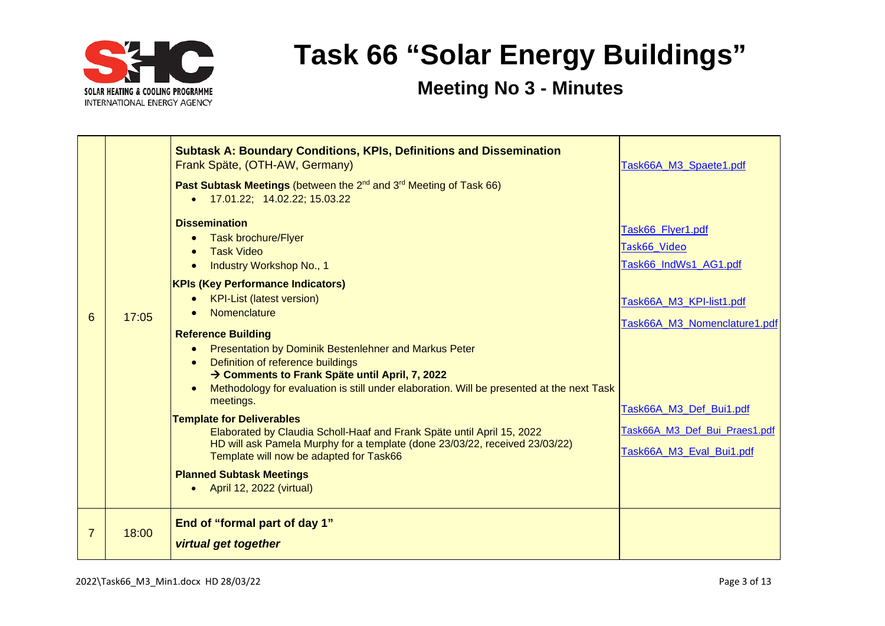

|   |       | <b>Subtask A: Boundary Conditions, KPIs, Definitions and Dissemination</b><br>Frank Späte, (OTH-AW, Germany)<br>Past Subtask Meetings (between the 2 <sup>nd</sup> and 3 <sup>rd</sup> Meeting of Task 66)<br>• 17.01.22; 14.02.22; 15.03.22<br><b>Dissemination</b>                                                                                                                                                                                                                                                                                                                                                                                                                       | Task66A M3 Spaete1.pdf                                                                                                                           |
|---|-------|--------------------------------------------------------------------------------------------------------------------------------------------------------------------------------------------------------------------------------------------------------------------------------------------------------------------------------------------------------------------------------------------------------------------------------------------------------------------------------------------------------------------------------------------------------------------------------------------------------------------------------------------------------------------------------------------|--------------------------------------------------------------------------------------------------------------------------------------------------|
|   |       | <b>Task brochure/Flyer</b>                                                                                                                                                                                                                                                                                                                                                                                                                                                                                                                                                                                                                                                                 | Task66_Flyer1.pdf<br>Task66 Video                                                                                                                |
|   |       | <b>Task Video</b><br><b>Industry Workshop No., 1</b>                                                                                                                                                                                                                                                                                                                                                                                                                                                                                                                                                                                                                                       | Task66_IndWs1_AG1.pdf                                                                                                                            |
| 6 | 17:05 | <b>KPIs (Key Performance Indicators)</b><br><b>KPI-List (latest version)</b><br>Nomenclature<br><b>Reference Building</b><br>Presentation by Dominik Bestenlehner and Markus Peter<br>Definition of reference buildings<br>→ Comments to Frank Späte until April, 7, 2022<br>Methodology for evaluation is still under elaboration. Will be presented at the next Task<br>meetings.<br><b>Template for Deliverables</b><br>Elaborated by Claudia Scholl-Haaf and Frank Späte until April 15, 2022<br>HD will ask Pamela Murphy for a template (done 23/03/22, received 23/03/22)<br>Template will now be adapted for Task66<br><b>Planned Subtask Meetings</b><br>April 12, 2022 (virtual) | Task66A_M3_KPI-list1.pdf<br>Task66A M3 Nomenclature1.pdf<br>Task66A M3 Def Bui1.pdf<br>Task66A M3 Def Bui Praes1.pdf<br>Task66A M3 Eval Bui1.pdf |
| 7 | 18:00 | End of "formal part of day 1"<br>virtual get together                                                                                                                                                                                                                                                                                                                                                                                                                                                                                                                                                                                                                                      |                                                                                                                                                  |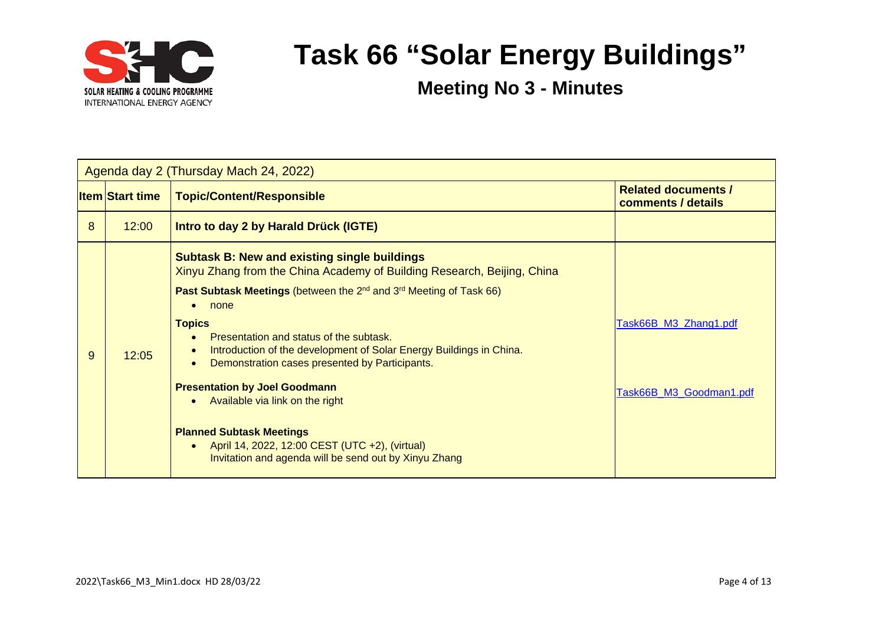

|   | Agenda day 2 (Thursday Mach 24, 2022) |                                                                                                                                                                                                                                                                                                                                                                                                                                                                                                                                                                                                                                                                      |                                                  |  |  |
|---|---------------------------------------|----------------------------------------------------------------------------------------------------------------------------------------------------------------------------------------------------------------------------------------------------------------------------------------------------------------------------------------------------------------------------------------------------------------------------------------------------------------------------------------------------------------------------------------------------------------------------------------------------------------------------------------------------------------------|--------------------------------------------------|--|--|
|   | <b>Item Start time</b>                | <b>Topic/Content/Responsible</b>                                                                                                                                                                                                                                                                                                                                                                                                                                                                                                                                                                                                                                     | <b>Related documents /</b><br>comments / details |  |  |
| 8 | 12:00                                 | <b>Intro to day 2 by Harald Drück (IGTE)</b>                                                                                                                                                                                                                                                                                                                                                                                                                                                                                                                                                                                                                         |                                                  |  |  |
| 9 | 12:05                                 | <b>Subtask B: New and existing single buildings</b><br>Xinyu Zhang from the China Academy of Building Research, Beijing, China<br><b>Past Subtask Meetings (between the 2<sup>nd</sup> and 3<sup>rd</sup> Meeting of Task 66)</b><br>none<br><b>Topics</b><br>Presentation and status of the subtask.<br>Introduction of the development of Solar Energy Buildings in China.<br>Demonstration cases presented by Participants.<br><b>Presentation by Joel Goodmann</b><br>Available via link on the right<br><b>Planned Subtask Meetings</b><br>April 14, 2022, 12:00 CEST (UTC +2), (virtual)<br>$\bullet$<br>Invitation and agenda will be send out by Xinyu Zhang | Task66B_M3_Zhang1.pdf<br>Task66B M3 Goodman1.pdf |  |  |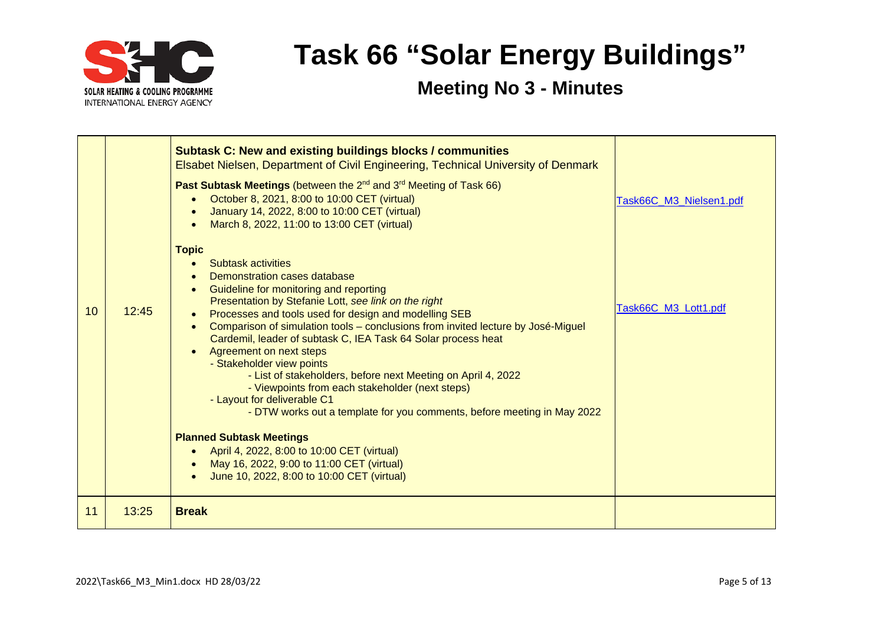

|    |       | <b>Subtask C: New and existing buildings blocks / communities</b><br><b>Elsabet Nielsen, Department of Civil Engineering, Technical University of Denmark</b><br><b>Past Subtask Meetings</b> (between the 2 <sup>nd</sup> and 3 <sup>rd</sup> Meeting of Task 66)<br>October 8, 2021, 8:00 to 10:00 CET (virtual)<br>January 14, 2022, 8:00 to 10:00 CET (virtual)<br>March 8, 2022, 11:00 to 13:00 CET (virtual)<br><b>Topic</b>                                                                                                                                                                                                                                          | Task66C_M3_Nielsen1.pdf |
|----|-------|-----------------------------------------------------------------------------------------------------------------------------------------------------------------------------------------------------------------------------------------------------------------------------------------------------------------------------------------------------------------------------------------------------------------------------------------------------------------------------------------------------------------------------------------------------------------------------------------------------------------------------------------------------------------------------|-------------------------|
| 10 | 12:45 | <b>Subtask activities</b><br>Demonstration cases database<br>Guideline for monitoring and reporting<br>Presentation by Stefanie Lott, see link on the right<br>Processes and tools used for design and modelling SEB<br>Comparison of simulation tools – conclusions from invited lecture by José-Miguel<br>$\bullet$<br>Cardemil, leader of subtask C, IEA Task 64 Solar process heat<br>Agreement on next steps<br>- Stakeholder view points<br>- List of stakeholders, before next Meeting on April 4, 2022<br>- Viewpoints from each stakeholder (next steps)<br>- Layout for deliverable C1<br>- DTW works out a template for you comments, before meeting in May 2022 | Task66C_M3_Lott1.pdf    |
|    |       | <b>Planned Subtask Meetings</b><br>April 4, 2022, 8:00 to 10:00 CET (virtual)<br>$\bullet$                                                                                                                                                                                                                                                                                                                                                                                                                                                                                                                                                                                  |                         |
|    |       | May 16, 2022, 9:00 to 11:00 CET (virtual)<br>June 10, 2022, 8:00 to 10:00 CET (virtual)                                                                                                                                                                                                                                                                                                                                                                                                                                                                                                                                                                                     |                         |
| 11 | 13:25 | <b>Break</b>                                                                                                                                                                                                                                                                                                                                                                                                                                                                                                                                                                                                                                                                |                         |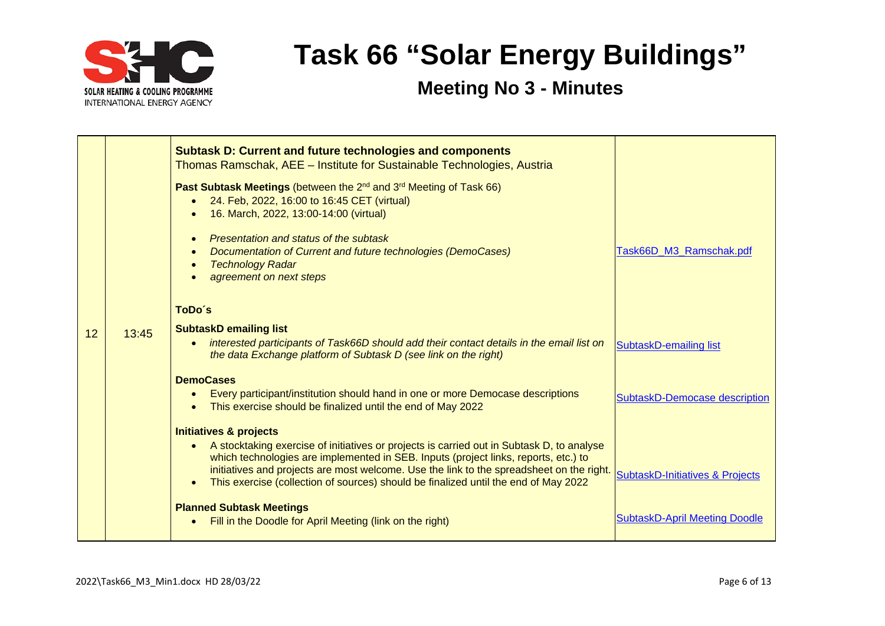

|    |       | <b>Subtask D: Current and future technologies and components</b><br>Thomas Ramschak, AEE - Institute for Sustainable Technologies, Austria                                                                                                                                                                                                                                                                            |                                            |
|----|-------|-----------------------------------------------------------------------------------------------------------------------------------------------------------------------------------------------------------------------------------------------------------------------------------------------------------------------------------------------------------------------------------------------------------------------|--------------------------------------------|
|    |       | Past Subtask Meetings (between the 2 <sup>nd</sup> and 3 <sup>rd</sup> Meeting of Task 66)<br>24. Feb, 2022, 16:00 to 16:45 CET (virtual)<br>16. March, 2022, 13:00-14:00 (virtual)                                                                                                                                                                                                                                   |                                            |
|    |       | Presentation and status of the subtask<br>Documentation of Current and future technologies (DemoCases)<br><b>Technology Radar</b><br>agreement on next steps                                                                                                                                                                                                                                                          | Task66D_M3_Ramschak.pdf                    |
|    |       | ToDo's                                                                                                                                                                                                                                                                                                                                                                                                                |                                            |
| 12 | 13:45 | <b>SubtaskD emailing list</b><br>interested participants of Task66D should add their contact details in the email list on<br>$\bullet$<br>the data Exchange platform of Subtask D (see link on the right)                                                                                                                                                                                                             | SubtaskD-emailing list                     |
|    |       | <b>DemoCases</b><br>Every participant/institution should hand in one or more Democase descriptions<br>$\bullet$<br>This exercise should be finalized until the end of May 2022                                                                                                                                                                                                                                        | SubtaskD-Democase description              |
|    |       | <b>Initiatives &amp; projects</b><br>A stocktaking exercise of initiatives or projects is carried out in Subtask D, to analyse<br>$\bullet$<br>which technologies are implemented in SEB. Inputs (project links, reports, etc.) to<br>initiatives and projects are most welcome. Use the link to the spreadsheet on the right.<br>This exercise (collection of sources) should be finalized until the end of May 2022 | <b>SubtaskD-Initiatives &amp; Projects</b> |
|    |       | <b>Planned Subtask Meetings</b><br>Fill in the Doodle for April Meeting (link on the right)<br>$\bullet$                                                                                                                                                                                                                                                                                                              | <b>SubtaskD-April Meeting Doodle</b>       |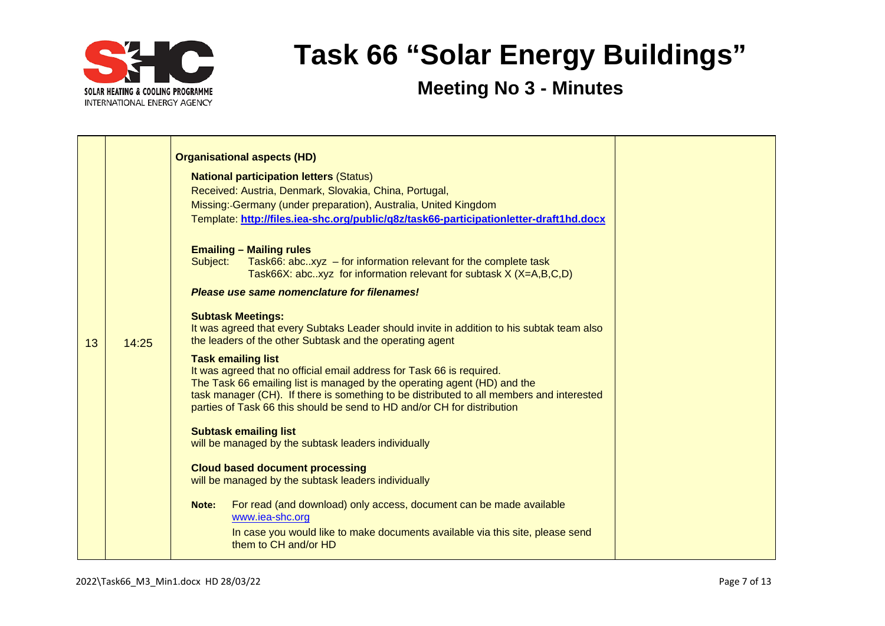

|    |       | <b>Organisational aspects (HD)</b>                                                                                                                                   |
|----|-------|----------------------------------------------------------------------------------------------------------------------------------------------------------------------|
|    |       | <b>National participation letters (Status)</b>                                                                                                                       |
|    |       | Received: Austria, Denmark, Slovakia, China, Portugal,                                                                                                               |
|    |       | Missing: Germany (under preparation), Australia, United Kingdom                                                                                                      |
|    |       | Template: http://files.iea-shc.org/public/q8z/task66-participationletter-draft1hd.docx                                                                               |
|    |       |                                                                                                                                                                      |
|    |       | <b>Emailing - Mailing rules</b>                                                                                                                                      |
|    |       | Task66: abcxyz $-$ for information relevant for the complete task<br>Subject:                                                                                        |
|    |       | Task66X: abcxyz for information relevant for subtask $X$ ( $X=A,B,C,D$ )                                                                                             |
|    |       | Please use same nomenclature for filenames!                                                                                                                          |
|    |       | <b>Subtask Meetings:</b>                                                                                                                                             |
|    |       | It was agreed that every Subtaks Leader should invite in addition to his subtak team also                                                                            |
| 13 | 14:25 | the leaders of the other Subtask and the operating agent                                                                                                             |
|    |       | <b>Task emailing list</b>                                                                                                                                            |
|    |       | It was agreed that no official email address for Task 66 is required.                                                                                                |
|    |       | The Task 66 emailing list is managed by the operating agent (HD) and the<br>task manager (CH). If there is something to be distributed to all members and interested |
|    |       | parties of Task 66 this should be send to HD and/or CH for distribution                                                                                              |
|    |       |                                                                                                                                                                      |
|    |       | <b>Subtask emailing list</b><br>will be managed by the subtask leaders individually                                                                                  |
|    |       |                                                                                                                                                                      |
|    |       | <b>Cloud based document processing</b>                                                                                                                               |
|    |       | will be managed by the subtask leaders individually                                                                                                                  |
|    |       | For read (and download) only access, document can be made available<br>Note:                                                                                         |
|    |       | www.iea-shc.org                                                                                                                                                      |
|    |       | In case you would like to make documents available via this site, please send                                                                                        |
|    |       | them to CH and/or HD                                                                                                                                                 |
|    |       |                                                                                                                                                                      |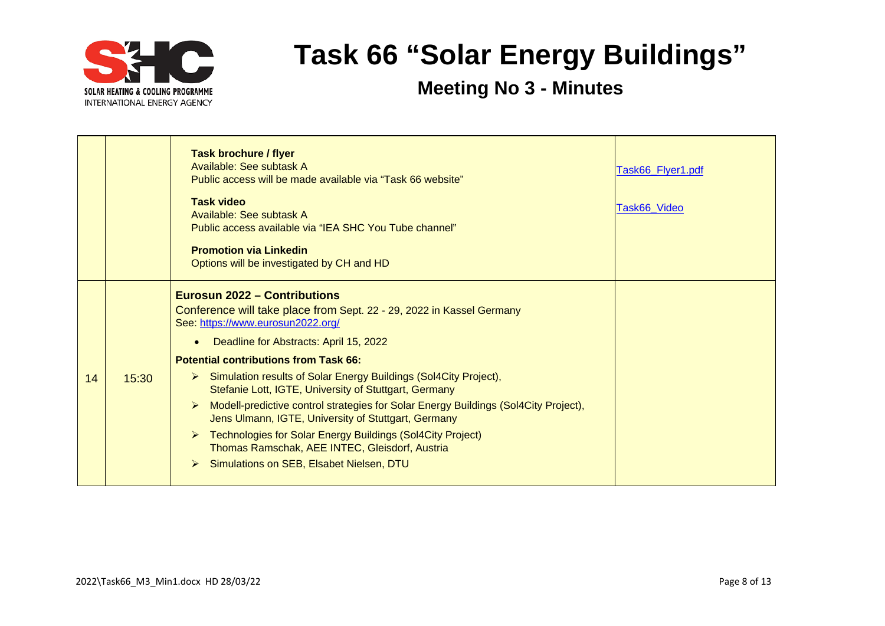

|    |       | <b>Task brochure / flyer</b><br>Available: See subtask A<br>Public access will be made available via "Task 66 website"<br><b>Task video</b><br>Available: See subtask A<br>Public access available via "IEA SHC You Tube channel"<br><b>Promotion via Linkedin</b><br>Options will be investigated by CH and HD                                                                                                                                                                                                                                                                                                                                                                                                          | Task66_Flyer1.pdf<br>Task66_Video |
|----|-------|--------------------------------------------------------------------------------------------------------------------------------------------------------------------------------------------------------------------------------------------------------------------------------------------------------------------------------------------------------------------------------------------------------------------------------------------------------------------------------------------------------------------------------------------------------------------------------------------------------------------------------------------------------------------------------------------------------------------------|-----------------------------------|
| 14 | 15:30 | <b>Eurosun 2022 – Contributions</b><br>Conference will take place from Sept. 22 - 29, 2022 in Kassel Germany<br>See: https://www.eurosun2022.org/<br>Deadline for Abstracts: April 15, 2022<br>$\bullet$<br><b>Potential contributions from Task 66:</b><br>Simulation results of Solar Energy Buildings (Sol4City Project),<br>$\triangleright$<br>Stefanie Lott, IGTE, University of Stuttgart, Germany<br>Modell-predictive control strategies for Solar Energy Buildings (Sol4City Project),<br>Jens Ulmann, IGTE, University of Stuttgart, Germany<br>Technologies for Solar Energy Buildings (Sol4City Project)<br>➤<br>Thomas Ramschak, AEE INTEC, Gleisdorf, Austria<br>Simulations on SEB, Elsabet Nielsen, DTU |                                   |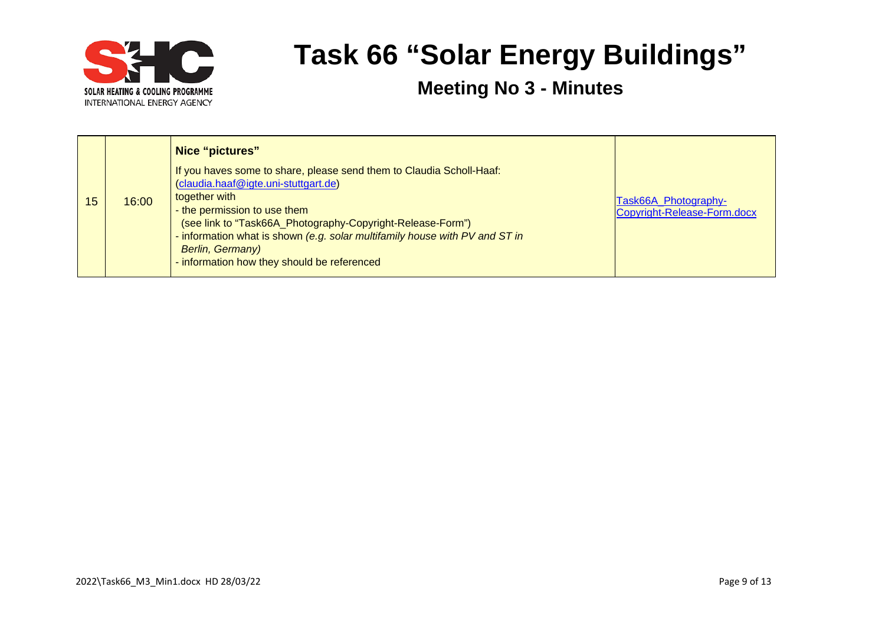

|    |       | Nice "pictures"<br>If you haves some to share, please send them to Claudia Scholl-Haaf:<br>(claudia.haaf@igte.uni-stuttgart.de)                                                                                                                                      |                                                     |
|----|-------|----------------------------------------------------------------------------------------------------------------------------------------------------------------------------------------------------------------------------------------------------------------------|-----------------------------------------------------|
| 15 | 16:00 | together with<br>- the permission to use them<br>(see link to "Task66A_Photography-Copyright-Release-Form")<br>- information what is shown (e.g. solar multifamily house with PV and ST in<br><b>Berlin, Germany)</b><br>- information how they should be referenced | Task66A_Photography-<br>Copyright-Release-Form.docx |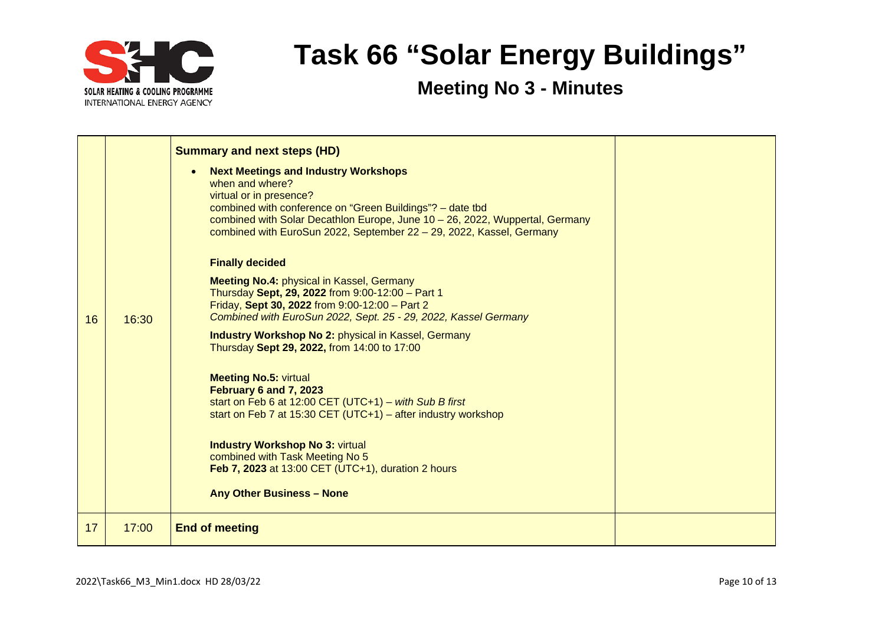

| 16 | 16:30 | <b>Summary and next steps (HD)</b><br><b>Next Meetings and Industry Workshops</b><br>when and where?<br>virtual or in presence?<br>combined with conference on "Green Buildings"? - date tbd<br>combined with Solar Decathlon Europe, June 10 - 26, 2022, Wuppertal, Germany<br>combined with EuroSun 2022, September 22 - 29, 2022, Kassel, Germany<br><b>Finally decided</b><br><b>Meeting No.4: physical in Kassel, Germany</b><br>Thursday Sept, 29, 2022 from 9:00-12:00 - Part 1<br>Friday, Sept 30, 2022 from 9:00-12:00 - Part 2<br>Combined with EuroSun 2022, Sept. 25 - 29, 2022, Kassel Germany<br><b>Industry Workshop No 2: physical in Kassel, Germany</b><br>Thursday Sept 29, 2022, from 14:00 to 17:00<br><b>Meeting No.5: virtual</b><br>February 6 and 7, 2023<br>start on Feb 6 at 12:00 CET (UTC+1) - with Sub B first<br>start on Feb 7 at 15:30 CET (UTC+1) – after industry workshop<br><b>Industry Workshop No 3: virtual</b><br>combined with Task Meeting No 5<br>Feb 7, 2023 at 13:00 CET (UTC+1), duration 2 hours<br><b>Any Other Business - None</b> |  |
|----|-------|--------------------------------------------------------------------------------------------------------------------------------------------------------------------------------------------------------------------------------------------------------------------------------------------------------------------------------------------------------------------------------------------------------------------------------------------------------------------------------------------------------------------------------------------------------------------------------------------------------------------------------------------------------------------------------------------------------------------------------------------------------------------------------------------------------------------------------------------------------------------------------------------------------------------------------------------------------------------------------------------------------------------------------------------------------------------------------------|--|
| 17 | 17:00 | <b>End of meeting</b>                                                                                                                                                                                                                                                                                                                                                                                                                                                                                                                                                                                                                                                                                                                                                                                                                                                                                                                                                                                                                                                                |  |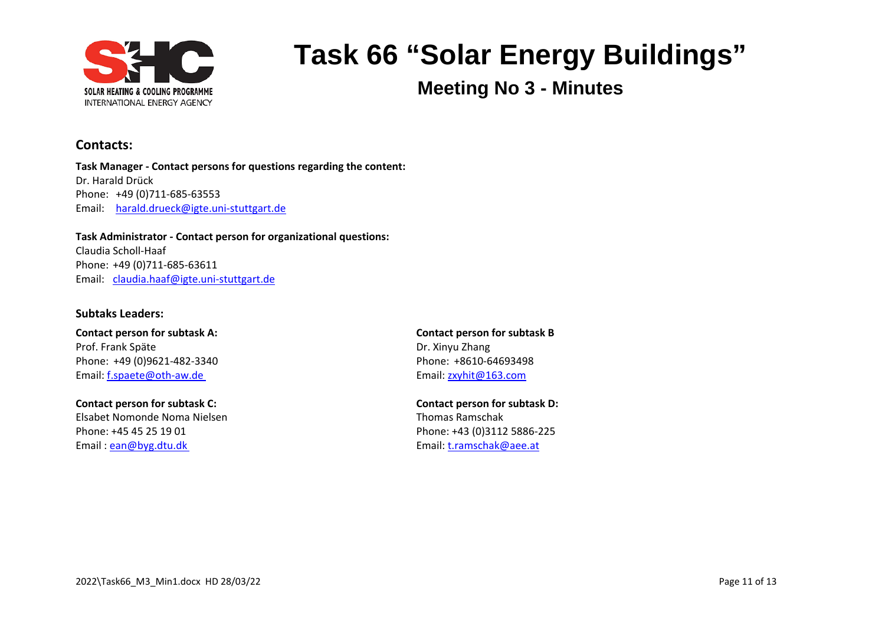

**Meeting No 3 - Minutes**

#### **Contacts:**

**Task Manager - Contact persons for questions regarding the content:** Dr. Harald Drück Phone: +49 (0)711-685-63553 Email: [harald.drueck@igte.uni-stuttgart.de](mailto:harald.drueck@igte.uni-stuttgart.de)

**Task Administrator - Contact person for organizational questions:** Claudia Scholl-Haaf Phone: +49 (0)711-685-63611 Email: [claudia.haaf@igte.uni-stuttgart.de](mailto:claudia.haaf@igte.uni-stuttgart.de)

#### **Subtaks Leaders:**

**Contact person for subtask A: Contact person for subtask B** Prof. Frank Späte Dr. Xinyu Zhang Phone: +49 (0)9621-482-3340 Phone: +8610-64693498 Email: [f.spaete@oth-aw.de](mailto:f.spaete@oth-aw.de) Email: f.spaete@oth-aw.de

**Contact person for subtask C: Contact person for subtask D:** Elsabet Nomonde Noma Nielsen Thomas Ramschak Phone: +45 45 25 19 01 Phone: +43 (0)3112 5886-225 Email : [ean@byg.dtu.dk](mailto:ean@byg.dtu.dk) Email: [t.ramschak@aee.at](mailto:t.ramschak@aee.at)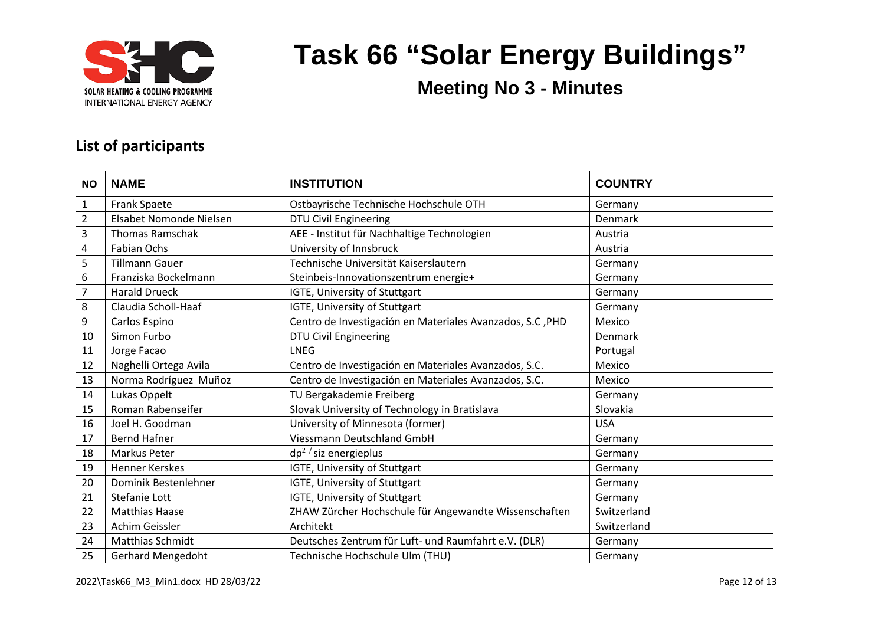

**Meeting No 3 - Minutes**

#### **List of participants**

| <b>NO</b>      | <b>NAME</b>              | <b>INSTITUTION</b>                                         | <b>COUNTRY</b> |
|----------------|--------------------------|------------------------------------------------------------|----------------|
| $\mathbf{1}$   | <b>Frank Spaete</b>      | Ostbayrische Technische Hochschule OTH                     | Germany        |
| $\overline{2}$ | Elsabet Nomonde Nielsen  | <b>DTU Civil Engineering</b>                               | Denmark        |
| 3              | <b>Thomas Ramschak</b>   | AEE - Institut für Nachhaltige Technologien                | Austria        |
| 4              | <b>Fabian Ochs</b>       | University of Innsbruck                                    | Austria        |
| 5              | <b>Tillmann Gauer</b>    | Technische Universität Kaiserslautern                      | Germany        |
| 6              | Franziska Bockelmann     | Steinbeis-Innovationszentrum energie+                      | Germany        |
| $\overline{7}$ | <b>Harald Drueck</b>     | IGTE, University of Stuttgart                              | Germany        |
| 8              | Claudia Scholl-Haaf      | IGTE, University of Stuttgart                              | Germany        |
| 9              | Carlos Espino            | Centro de Investigación en Materiales Avanzados, S.C., PHD | Mexico         |
| 10             | Simon Furbo              | <b>DTU Civil Engineering</b>                               | Denmark        |
| 11             | Jorge Facao              | <b>LNEG</b>                                                | Portugal       |
| 12             | Naghelli Ortega Avila    | Centro de Investigación en Materiales Avanzados, S.C.      | Mexico         |
| 13             | Norma Rodríguez Muñoz    | Centro de Investigación en Materiales Avanzados, S.C.      | Mexico         |
| 14             | Lukas Oppelt             | TU Bergakademie Freiberg                                   | Germany        |
| 15             | Roman Rabenseifer        | Slovak University of Technology in Bratislava              | Slovakia       |
| 16             | Joel H. Goodman          | University of Minnesota (former)                           | <b>USA</b>     |
| 17             | <b>Bernd Hafner</b>      | <b>Viessmann Deutschland GmbH</b>                          | Germany        |
| 18             | Markus Peter             | $dp^2$ / siz energieplus                                   | Germany        |
| 19             | <b>Henner Kerskes</b>    | IGTE, University of Stuttgart                              | Germany        |
| 20             | Dominik Bestenlehner     | IGTE, University of Stuttgart                              | Germany        |
| 21             | Stefanie Lott            | IGTE, University of Stuttgart                              | Germany        |
| 22             | <b>Matthias Haase</b>    | ZHAW Zürcher Hochschule für Angewandte Wissenschaften      | Switzerland    |
| 23             | Achim Geissler           | Architekt                                                  | Switzerland    |
| 24             | <b>Matthias Schmidt</b>  | Deutsches Zentrum für Luft- und Raumfahrt e.V. (DLR)       | Germany        |
| 25             | <b>Gerhard Mengedoht</b> | Technische Hochschule Ulm (THU)                            | Germany        |